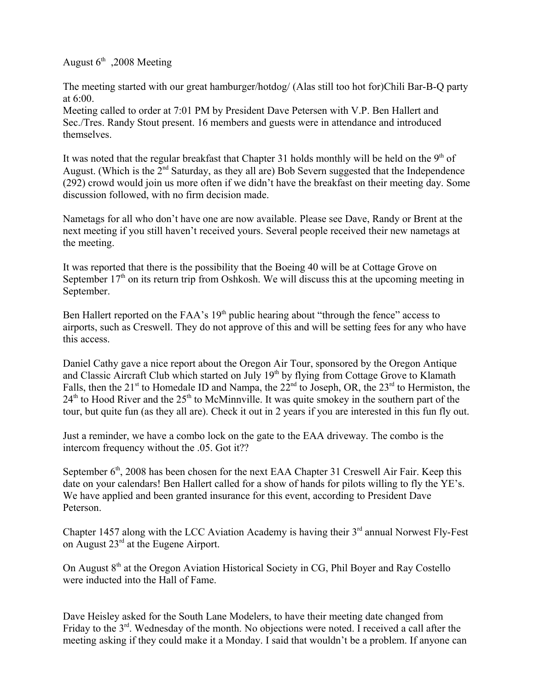August  $6<sup>th</sup>$ , 2008 Meeting

The meeting started with our great hamburger/hotdog/ (Alas still too hot for)Chili Bar-B-Q party at 6:00.

Meeting called to order at 7:01 PM by President Dave Petersen with V.P. Ben Hallert and Sec./Tres. Randy Stout present. 16 members and guests were in attendance and introduced themselves.

It was noted that the regular breakfast that Chapter 31 holds monthly will be held on the  $9<sup>th</sup>$  of August. (Which is the 2<sup>nd</sup> Saturday, as they all are) Bob Severn suggested that the Independence (292) crowd would join us more often if we didn't have the breakfast on their meeting day. Some discussion followed, with no firm decision made.

Nametags for all who don't have one are now available. Please see Dave, Randy or Brent at the next meeting if you still haven't received yours. Several people received their new nametags at the meeting.

It was reported that there is the possibility that the Boeing 40 will be at Cottage Grove on September  $17<sup>th</sup>$  on its return trip from Oshkosh. We will discuss this at the upcoming meeting in September.

Ben Hallert reported on the FAA's  $19<sup>th</sup>$  public hearing about "through the fence" access to airports, such as Creswell. They do not approve of this and will be setting fees for any who have this access.

Daniel Cathy gave a nice report about the Oregon Air Tour, sponsored by the Oregon Antique and Classic Aircraft Club which started on July 19<sup>th</sup> by flying from Cottage Grove to Klamath Falls, then the 21<sup>st</sup> to Homedale ID and Nampa, the  $22<sup>nd</sup>$  to Joseph, OR, the  $23<sup>rd</sup>$  to Hermiston, the  $24<sup>th</sup>$  to Hood River and the  $25<sup>th</sup>$  to McMinnville. It was quite smokey in the southern part of the tour, but quite fun (as they all are). Check it out in 2 years if you are interested in this fun fly out.

Just a reminder, we have a combo lock on the gate to the EAA driveway. The combo is the intercom frequency without the .05. Got it??

September  $6<sup>th</sup>$ , 2008 has been chosen for the next EAA Chapter 31 Creswell Air Fair. Keep this date on your calendars! Ben Hallert called for a show of hands for pilots willing to fly the YE's. We have applied and been granted insurance for this event, according to President Dave Peterson.

Chapter 1457 along with the LCC Aviation Academy is having their 3<sup>rd</sup> annual Norwest Fly-Fest on August 23rd at the Eugene Airport.

On August 8<sup>th</sup> at the Oregon Aviation Historical Society in CG, Phil Boyer and Ray Costello were inducted into the Hall of Fame.

Dave Heisley asked for the South Lane Modelers, to have their meeting date changed from Friday to the  $3<sup>rd</sup>$ . Wednesday of the month. No objections were noted. I received a call after the meeting asking if they could make it a Monday. I said that wouldn't be a problem. If anyone can